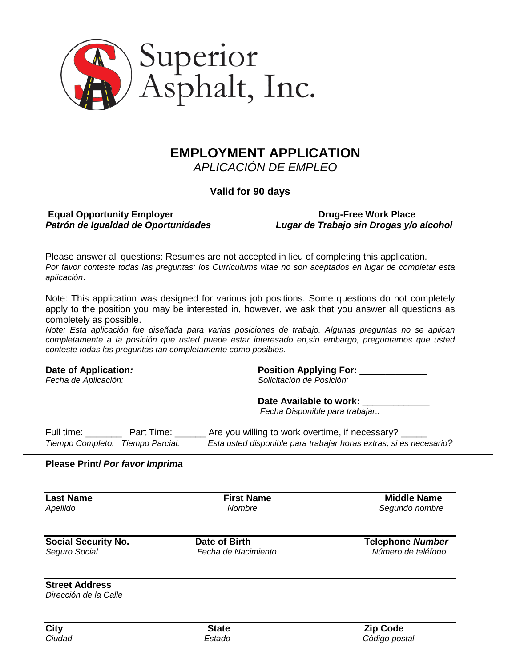

# **EMPLOYMENT APPLICATION** *APLICACIÓN DE EMPLEO*

**Valid for 90 days**

# **Equal Opportunity Employer Compact State State Compact State Drug-Free Work Place**

*Patrón de Igualdad de Oportunidades Lugar de Trabajo sin Drogas y/o alcohol*

Please answer all questions: Resumes are not accepted in lieu of completing this application. *Por favor conteste todas las preguntas: los Curriculums vitae no son aceptados en lugar de completar esta aplicación*.

Note: This application was designed for various job positions. Some questions do not completely apply to the position you may be interested in, however, we ask that you answer all questions as completely as possible.

*Note: Esta aplicación fue diseñada para varias posiciones de trabajo. Algunas preguntas no se aplican completamente a la posición que usted puede estar interesado en,sin embargo, preguntamos que usted conteste todas las preguntas tan completamente como posibles.*

**Date of Application***: \_\_\_\_\_\_\_\_\_\_\_\_\_* **Position Applying For:** \_\_\_\_\_\_\_\_\_\_\_\_\_

*Fecha de Aplicación: Solicitación de Posición:*

## Date Available to work:

 *Fecha Disponible para trabajar::*

Full time: Full time: Full time: Let are you willing to work overtime, if necessary? *Tiempo Completo: Tiempo Parcial: Esta usted disponible para trabajar horas extras, si es necesario?*

#### **Please Print/** *Por favor Imprima*

**Last Name First Name Middle Name** *Apellido Nombre Segundo nombre*

**Social Security No.** Date of Birth **Telephone** *Number* Seguro Social **Number** *Fecha de Nacimiento Número de teléfono* 

*Seguro Social Fecha de Nacimiento Número de teléfono*

**Street Address**

*Dirección de la Calle*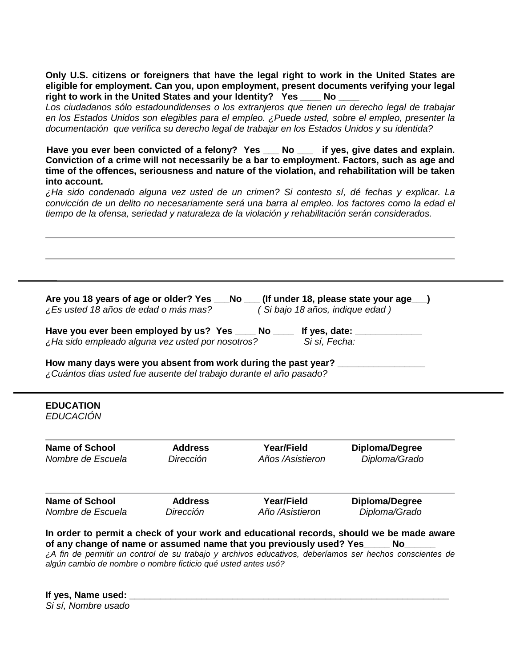**Only U.S. citizens or foreigners that have the legal right to work in the United States are eligible for employment. Can you, upon employment, present documents verifying your legal right to work in the United States and your Identity? Yes \_\_\_\_ No \_\_\_\_**

*Los ciudadanos sólo estadoundidenses o los extranjeros que tienen un derecho legal de trabajar en los Estados Unidos son elegibles para el empleo. ¿Puede usted, sobre el empleo, presenter la documentación que verifica su derecho legal de trabajar en los Estados Unidos y su identida?* 

Have you ever been convicted of a felony? Yes \_\_\_ No \_\_\_ if yes, give dates and explain. **Conviction of a crime will not necessarily be a bar to employment. Factors, such as age and time of the offences, seriousness and nature of the violation, and rehabilitation will be taken into account.**

*¿Ha sido condenado alguna vez usted de un crimen? Si contesto sí, dé fechas y explicar. La convicción de un delito no necesariamente será una barra al empleo. los factores como la edad el tiempo de la ofensa, seriedad y naturaleza de la violación y rehabilitación serán considerados.*

**Are you 18 years of age or older? Yes \_\_\_No \_\_\_ (If under 18, please state your age \_\_\_)**<br>*i* Es usted 18 años de edad o más mas? (Si bajo 18 años, indique edad ) *¿Es usted 18 años de edad o más mas? ( Si bajo 18 años, indique edad )* Have you ever been employed by us? Yes \_\_\_\_ No \_\_\_\_ If yes, date: \_\_\_\_\_\_\_\_\_\_\_\_\_\_ *¿Ha sido empleado alguna vez usted por nosotros? Si sí, Fecha:*  **How many days were you absent from work during the past year? \_\_\_\_\_\_\_\_\_\_\_\_\_\_\_\_\_** *¿Cuántos dias usted fue ausente del trabajo durante el año pasado?*

#### **EDUCATION** *EDUCACIÓN*

**Name of School Address Year/Field Diploma/Degree** *Nombre de Escuela Dirección Años /Asistieron Diploma/Grado* **Name of School Address Year/Field Diploma/Degree** *Nombre de Escuela Dirección Año /Asistieron Diploma/Grado* **In order to permit a check of your work and educational records, should we be made aware** 

of any change of name or assumed name that you previously used? Yes No *¿A fin de permitir un control de su trabajo y archivos educativos, deberíamos ser hechos conscientes de algún cambio de nombre o nombre ficticio qué usted antes usó?* 

**If yes, Name used: \_\_\_\_\_\_\_\_\_\_\_\_\_\_\_\_\_\_\_\_\_\_\_\_\_\_\_\_\_\_\_\_\_\_\_\_\_\_\_\_\_\_\_\_\_\_\_\_\_\_\_\_\_\_\_\_\_\_\_\_\_\_**

*Si sí, Nombre usado*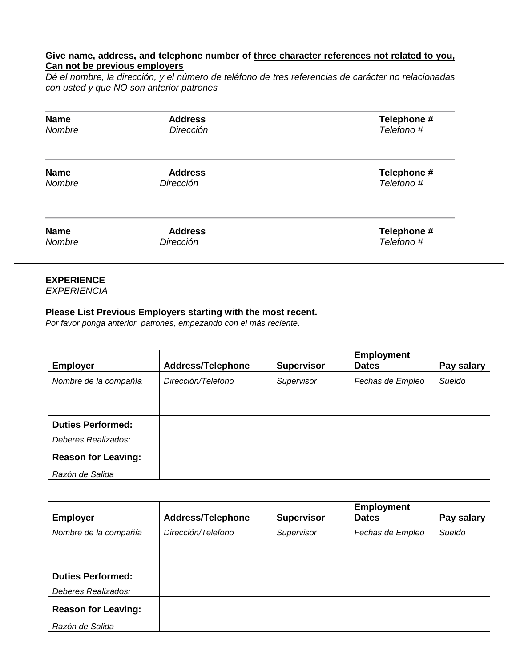#### **Give name, address, and telephone number of three character references not related to you, Can not be previous employers**

*Dé el nombre, la dirección, y el número de teléfono de tres referencias de carácter no relacionadas con usted y que NO son anterior patrones*

| <b>Name</b> | <b>Address</b> | Telephone # |
|-------------|----------------|-------------|
| Nombre      | Dirección      | Telefono#   |
| <b>Name</b> | <b>Address</b> | Telephone # |
| Nombre      | Dirección      | Telefono#   |
| <b>Name</b> | <b>Address</b> | Telephone # |
| Nombre      | Dirección      | Telefono#   |

## **EXPERIENCE**

*EXPERIENCIA*

#### **Please List Previous Employers starting with the most recent.**

*Por favor ponga anterior patrones, empezando con el más reciente.*

| <b>Employer</b>            | <b>Address/Telephone</b> | <b>Supervisor</b> | <b>Employment</b><br><b>Dates</b> | Pay salary |
|----------------------------|--------------------------|-------------------|-----------------------------------|------------|
| Nombre de la compañía      | Dirección/Telefono       | Supervisor        | Fechas de Empleo                  | Sueldo     |
|                            |                          |                   |                                   |            |
|                            |                          |                   |                                   |            |
| <b>Duties Performed:</b>   |                          |                   |                                   |            |
| Deberes Realizados:        |                          |                   |                                   |            |
| <b>Reason for Leaving:</b> |                          |                   |                                   |            |
| Razón de Salida            |                          |                   |                                   |            |

|                            |                          |                   | <b>Employment</b> |            |
|----------------------------|--------------------------|-------------------|-------------------|------------|
| <b>Employer</b>            | <b>Address/Telephone</b> | <b>Supervisor</b> | <b>Dates</b>      | Pay salary |
| Nombre de la compañía      | Dirección/Telefono       | Supervisor        | Fechas de Empleo  | Sueldo     |
|                            |                          |                   |                   |            |
|                            |                          |                   |                   |            |
| <b>Duties Performed:</b>   |                          |                   |                   |            |
| Deberes Realizados:        |                          |                   |                   |            |
| <b>Reason for Leaving:</b> |                          |                   |                   |            |
| Razón de Salida            |                          |                   |                   |            |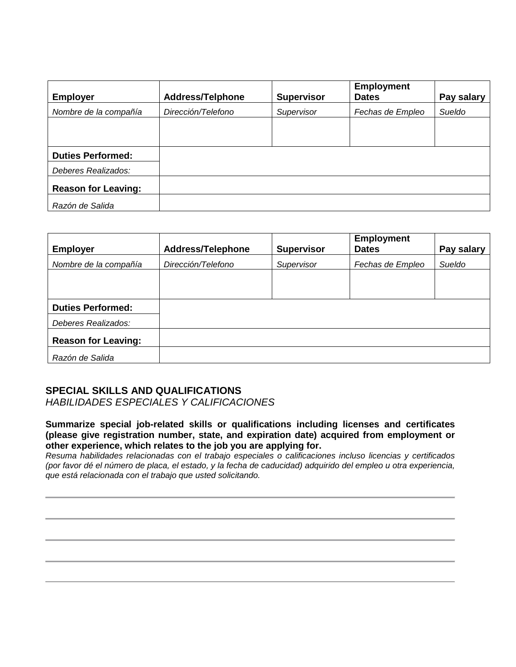| <b>Employer</b>            | <b>Address/Telphone</b> | <b>Supervisor</b> | <b>Employment</b><br><b>Dates</b> | Pay salary |
|----------------------------|-------------------------|-------------------|-----------------------------------|------------|
| Nombre de la compañía      | Dirección/Telefono      | Supervisor        | Fechas de Empleo                  | Sueldo     |
|                            |                         |                   |                                   |            |
|                            |                         |                   |                                   |            |
| <b>Duties Performed:</b>   |                         |                   |                                   |            |
| Deberes Realizados:        |                         |                   |                                   |            |
| <b>Reason for Leaving:</b> |                         |                   |                                   |            |
| Razón de Salida            |                         |                   |                                   |            |

| <b>Employer</b>            | <b>Address/Telephone</b> | <b>Supervisor</b> | <b>Employment</b><br><b>Dates</b> | Pay salary |
|----------------------------|--------------------------|-------------------|-----------------------------------|------------|
| Nombre de la compañía      | Dirección/Telefono       | Supervisor        | Fechas de Empleo                  | Sueldo     |
|                            |                          |                   |                                   |            |
|                            |                          |                   |                                   |            |
| <b>Duties Performed:</b>   |                          |                   |                                   |            |
| Deberes Realizados:        |                          |                   |                                   |            |
| <b>Reason for Leaving:</b> |                          |                   |                                   |            |
| Razón de Salida            |                          |                   |                                   |            |

## **SPECIAL SKILLS AND QUALIFICATIONS**

*HABILIDADES ESPECIALES Y CALIFICACIONES*

**Summarize special job-related skills or qualifications including licenses and certificates (please give registration number, state, and expiration date) acquired from employment or other experience, which relates to the job you are applying for.**

*Resuma habilidades relacionadas con el trabajo especiales o calificaciones incluso licencias y certificados (por favor dé el número de placa, el estado, y la fecha de caducidad) adquirido del empleo u otra experiencia, que está relacionada con el trabajo que usted solicitando.*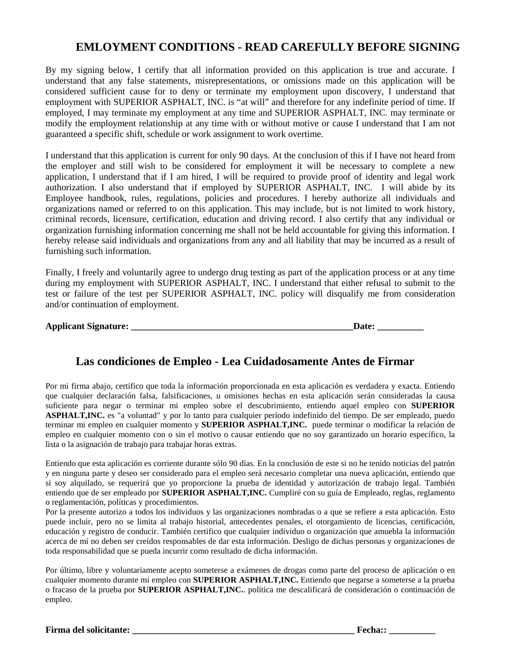# **EMLOYMENT CONDITIONS - READ CAREFULLY BEFORE SIGNING**

By my signing below, I certify that all information provided on this application is true and accurate. I understand that any false statements, misrepresentations, or omissions made on this application will be considered sufficient cause for to deny or terminate my employment upon discovery, I understand that employment with SUPERIOR ASPHALT, INC. is "at will" and therefore for any indefinite period of time. If employed, I may terminate my employment at any time and SUPERIOR ASPHALT, INC. may terminate or modify the employment relationship at any time with or without motive or cause I understand that I am not guaranteed a specific shift, schedule or work assignment to work overtime.

I understand that this application is current for only 90 days. At the conclusion of this if I have not heard from the employer and still wish to be considered for employment it will be necessary to complete a new application, I understand that if I am hired, I will be required to provide proof of identity and legal work authorization. I also understand that if employed by SUPERIOR ASPHALT, INC. I will abide by its Employee handbook, rules, regulations, policies and procedures. I hereby authorize all individuals and organizations named or referred to on this application. This may include, but is not limited to work history, criminal records, licensure, certification, education and driving record. I also certify that any individual or organization furnishing information concerning me shall not be held accountable for giving this information. I hereby release said individuals and organizations from any and all liability that may be incurred as a result of furnishing such information.

Finally, I freely and voluntarily agree to undergo drug testing as part of the application process or at any time during my employment with SUPERIOR ASPHALT, INC. I understand that either refusal to submit to the test or failure of the test per SUPERIOR ASPHALT, INC. policy will disqualify me from consideration and/or continuation of employment.

| <b>Applicant Signature:</b> |  |
|-----------------------------|--|
|-----------------------------|--|

# **Las condiciones de Empleo - Lea Cuidadosamente Antes de Firmar**

Por mi firma abajo, certifico que toda la información proporcionada en esta aplicación es verdadera y exacta. Entiendo que cualquier declaración falsa, falsificaciones, u omisiones hechas en esta aplicación serán consideradas la causa suficiente para negar o terminar mi empleo sobre el descubrimiento, entiendo aquel empleo con **SUPERIOR ASPHALT,INC.** es "a voluntad" y por lo tanto para cualquier período indefinido del tiempo. De ser empleado, puedo terminar mi empleo en cualquier momento y **SUPERIOR ASPHALT,INC.** puede terminar o modificar la relación de empleo en cualquier momento con o sin el motivo o causar entiendo que no soy garantizado un horario específico, la lista o la asignación de trabajo para trabajar horas extras.

Entiendo que esta aplicación es corriente durante sólo 90 días. En la conclusión de este si no he tenido noticias del patrón y en ninguna parte y deseo ser considerado para el empleo será necesario completar una nueva aplicación, entiendo que si soy alquilado, se requerirá que yo proporcione la prueba de identidad y autorización de trabajo legal. También entiendo que de ser empleado por **SUPERIOR ASPHALT,INC.** Cumpliré con su guía de Empleado, reglas, reglamento o reglamentación, políticas y procedimientos.

Por la presente autorizo a todos los individuos y las organizaciones nombradas o a que se refiere a esta aplicación. Esto puede incluir, pero no se limita al trabajo historial, antecedentes penales, el otorgamiento de licencias, certificación, educación y registro de conducir. También certifico que cualquier individuo o organización que amuebla la información acerca de mí no deben ser creídos responsables de dar esta información. Desligo de dichas personas y organizaciones de toda responsabilidad que se pueda incurrir como resultado de dicha información.

Por último, libre y voluntariamente acepto someterse a exámenes de drogas como parte del proceso de aplicación o en cualquier momento durante mi empleo con **SUPERIOR ASPHALT,INC.** Entiendo que negarse a someterse a la prueba o fracaso de la prueba por **SUPERIOR ASPHALT,INC.**. política me descalificará de consideración o continuación de empleo.